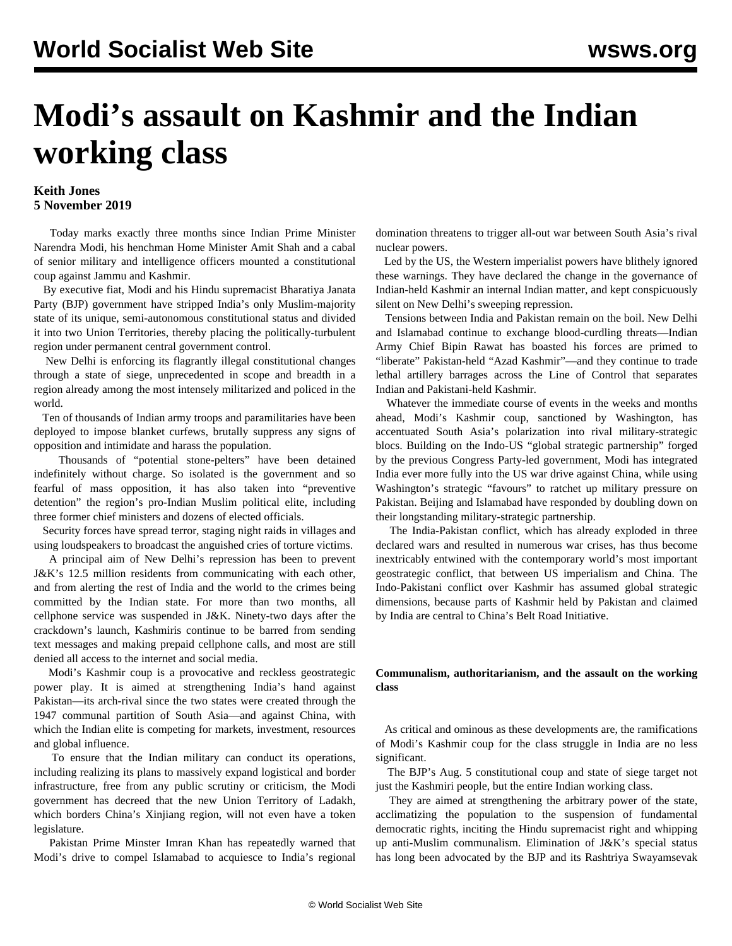## **Modi's assault on Kashmir and the Indian working class**

## **Keith Jones 5 November 2019**

 Today marks exactly three months since Indian Prime Minister Narendra Modi, his henchman Home Minister Amit Shah and a cabal of senior military and intelligence officers mounted a constitutional coup against Jammu and Kashmir.

 By executive fiat, Modi and his Hindu supremacist Bharatiya Janata Party (BJP) government have stripped India's only Muslim-majority state of its unique, semi-autonomous constitutional status and divided it into two Union Territories, thereby placing the politically-turbulent region under permanent central government control.

 New Delhi is enforcing its flagrantly illegal constitutional changes through a state of siege, unprecedented in scope and breadth in a region already among the most intensely militarized and policed in the world.

 Ten of thousands of Indian army troops and paramilitaries have been deployed to impose blanket curfews, brutally suppress any signs of opposition and intimidate and harass the population.

 Thousands of "potential stone-pelters" have been detained indefinitely without charge. So isolated is the government and so fearful of mass opposition, it has also taken into "preventive detention" the region's pro-Indian Muslim political elite, including three former chief ministers and dozens of elected officials.

 Security forces have spread terror, staging night raids in villages and using loudspeakers to broadcast the anguished cries of torture victims.

 A principal aim of New Delhi's repression has been to prevent J&K's 12.5 million residents from communicating with each other, and from alerting the rest of India and the world to the crimes being committed by the Indian state. For more than two months, all cellphone service was suspended in J&K. Ninety-two days after the crackdown's launch, Kashmiris continue to be barred from sending text messages and making prepaid cellphone calls, and most are still denied all access to the internet and social media.

 Modi's Kashmir coup is a provocative and reckless geostrategic power play. It is aimed at strengthening India's hand against Pakistan—its arch-rival since the two states were created through the 1947 communal partition of South Asia—and against China, with which the Indian elite is competing for markets, investment, resources and global influence.

 To ensure that the Indian military can conduct its operations, including realizing its plans to massively expand logistical and border infrastructure, free from any public scrutiny or criticism, the Modi government has decreed that the new Union Territory of Ladakh, which borders China's Xinjiang region, will not even have a token legislature.

 Pakistan Prime Minster Imran Khan has repeatedly warned that Modi's drive to compel Islamabad to acquiesce to India's regional

domination threatens to trigger all-out war between South Asia's rival nuclear powers.

 Led by the US, the Western imperialist powers have blithely ignored these warnings. They have declared the change in the governance of Indian-held Kashmir an internal Indian matter, and kept conspicuously silent on New Delhi's sweeping repression.

 Tensions between India and Pakistan remain on the boil. New Delhi and Islamabad continue to exchange blood-curdling threats—Indian Army Chief Bipin Rawat has boasted his forces are primed to "liberate" Pakistan-held "Azad Kashmir"—and they continue to trade lethal artillery barrages across the Line of Control that separates Indian and Pakistani-held Kashmir.

 Whatever the immediate course of events in the weeks and months ahead, Modi's Kashmir coup, sanctioned by Washington, has accentuated South Asia's polarization into rival military-strategic blocs. Building on the Indo-US "global strategic partnership" forged by the previous Congress Party-led government, Modi has integrated India ever more fully into the US war drive against China, while using Washington's strategic "favours" to ratchet up military pressure on Pakistan. Beijing and Islamabad have responded by doubling down on their longstanding military-strategic partnership.

 The India-Pakistan conflict, which has already exploded in three declared wars and resulted in numerous war crises, has thus become inextricably entwined with the contemporary world's most important geostrategic conflict, that between US imperialism and China. The Indo-Pakistani conflict over Kashmir has assumed global strategic dimensions, because parts of Kashmir held by Pakistan and claimed by India are central to China's Belt Road Initiative.

## **Communalism, authoritarianism, and the assault on the working class**

 As critical and ominous as these developments are, the ramifications of Modi's Kashmir coup for the class struggle in India are no less significant.

 The BJP's Aug. 5 constitutional coup and state of siege target not just the Kashmiri people, but the entire Indian working class.

 They are aimed at strengthening the arbitrary power of the state, acclimatizing the population to the suspension of fundamental democratic rights, inciting the Hindu supremacist right and whipping up anti-Muslim communalism. Elimination of J&K's special status has long been advocated by the BJP and its Rashtriya Swayamsevak